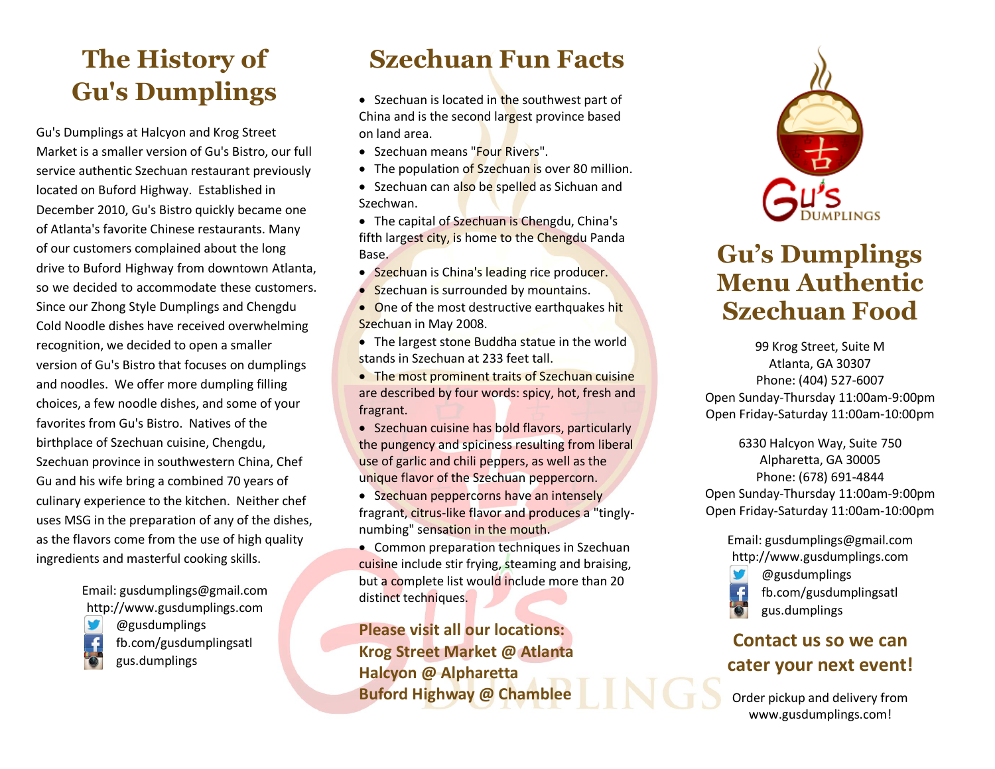# **The History of Gu's Dumplings**

Gu's Dumplings at Halcyon and Krog Street Market is a smaller version of Gu's Bistro, our full service authentic Szechuan restaurant previously located on Buford Highway. Established in December 2010, Gu's Bistro quickly became one of Atlanta's favorite Chinese restaurants. Many of our customers complained about the long drive to Buford Highway from downtown Atlanta, so we decided to accommodate these customers. Since our Zhong Style Dumplings and Chengdu Cold Noodle dishes have received overwhelming recognition, we decided to open a smaller version of Gu's Bistro that focuses on dumplings and noodles. We offer more dumpling filling choices, a few noodle dishes, and some of your favorites from Gu's Bistro. Natives of the birthplace of Szechuan cuisine, Chengdu, Szechuan province in southwestern China, Chef Gu and his wife bring a combined 70 years of culinary experience to the kitchen. Neither chef uses MSG in the preparation of any of the dishes, as the flavors come from the use of high quality ingredients and masterful cooking skills.

> Email: gusdumplings@gmail.com http://www.gusdumplings.com @gusdumplings fb.com/gusdumplingsatl gus.dumplings

# **Szechuan Fun Facts**

- $\bullet$  Szechuan is located in the southwest part of China and is the second largest province based on land area.
- Szechuan means "Four Rivers".
- The population of Szechuan is over 80 million.
- Szechuan can also be spelled as Sichuan and Szechwan.
- The capital of Szechuan is Chengdu, China's fifth largest city, is home to the Chengdu Panda Base.
- Szechuan is China's leading rice producer.
- Szechuan is surrounded by mountains.
- One of the most destructive earthquakes hit Szechuan in May 2008.
- The largest stone Buddha statue in the world stands in Szechuan at 233 feet tall.
- The most prominent traits of Szechuan cuisine are described by four words: spicy, hot, fresh and fragrant.
- Szechuan cuisine has bold flavors, particularly the pungency and spiciness resulting from liberal use of garlic and chili peppers, as well as the unique flavor of the Szechuan peppercorn.
- Szechuan peppercorns have an intensely fragrant, citrus-like flavor and produces a "tinglynumbing" sensation in the mouth.
- **Common preparation techniques in Szechuan** cuisine include stir frying, steaming and braising, but a complete list would include more than 20 distinct techniques.

**Please visit all our locations: Krog Street Market @ Atlanta Halcyon @ Alpharetta Buford Highway @ Chamblee**



# **Gu's Dumplings Menu Authentic Szechuan Food**

99 Krog Street, Suite M Atlanta, GA 30307 Phone: (404) 527-6007 Open Sunday-Thursday 11:00am-9:00pm Open Friday-Saturday 11:00am-10:00pm

6330 Halcyon Way, Suite 750 Alpharetta, GA 30005 Phone: (678) 691-4844 Open Sunday-Thursday 11:00am-9:00pm Open Friday-Saturday 11:00am-10:00pm

Email: gusdumplings@gmail.com http://www.gusdumplings.com



- @gusdumplings fb.com/gusdumplingsatl
- gus.dumplings

## **Contact us so we can cater your next event!**

Order pickup and delivery from www.gusdumplings.com!